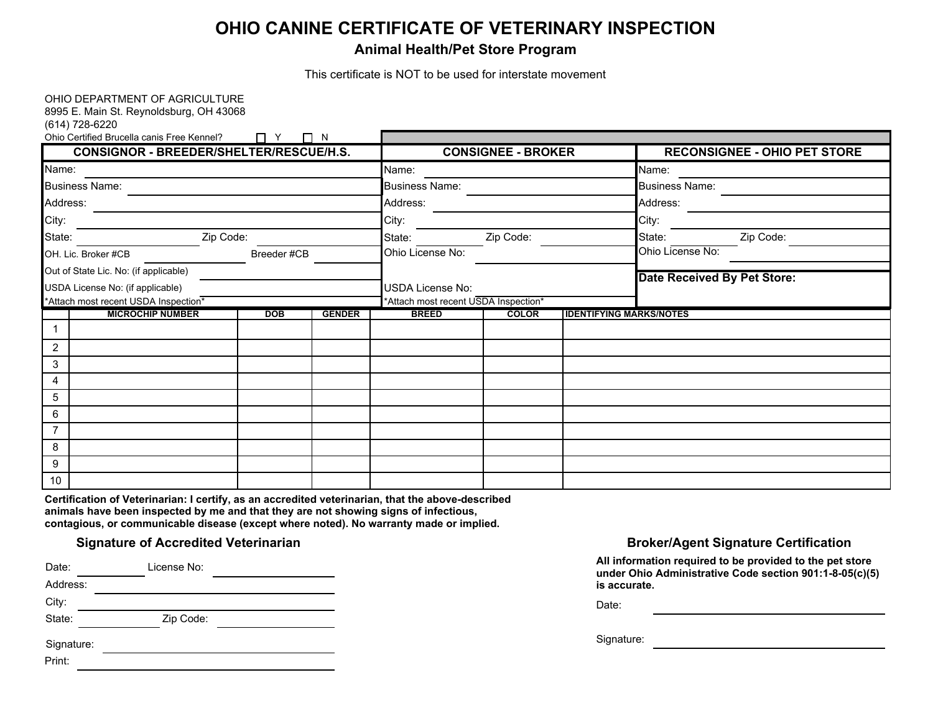# **OHIO CANINE CERTIFICATE OF VETERINARY INSPECTION**

## **Animal Health/Pet Store Program**

This certificate is NOT to be used for interstate movement

| OHIO DEPARTMENT OF AGRICULTURE<br>8995 E. Main St. Reynoldsburg, OH 43068<br>(614) 728-6220<br>Ohio Certified Brucella canis Free Kennel? | $\Box$ Y $\Box$ N<br>CONSIGNOR - BREEDER/SHELTER/RESCUE/H.S. |               |                         | <b>CONSIGNEE - BROKER</b>            |                                | <b>RECONSIGNEE - OHIO PET STORE</b> |
|-------------------------------------------------------------------------------------------------------------------------------------------|--------------------------------------------------------------|---------------|-------------------------|--------------------------------------|--------------------------------|-------------------------------------|
| Name:                                                                                                                                     |                                                              |               | Name:                   |                                      |                                | Name:                               |
| <b>Business Name:</b>                                                                                                                     |                                                              |               | <b>Business Name:</b>   |                                      |                                | <b>Business Name:</b>               |
| Address:                                                                                                                                  |                                                              |               | Address:                |                                      |                                | Address:                            |
| City:                                                                                                                                     | City:                                                        |               |                         | City:                                |                                |                                     |
| Zip Code:<br>State:                                                                                                                       |                                                              |               | State:                  | Zip Code:                            |                                | Zip Code:<br>State:                 |
| OH. Lic. Broker #CB                                                                                                                       | Breeder #CB                                                  |               |                         |                                      |                                | Ohio License No:                    |
| Out of State Lic. No: (if applicable)                                                                                                     |                                                              |               |                         |                                      |                                |                                     |
| USDA License No: (if applicable)                                                                                                          |                                                              |               | <b>USDA License No:</b> |                                      |                                | <b>Date Received By Pet Store:</b>  |
|                                                                                                                                           | *Attach most recent USDA Inspection*                         |               |                         | *Attach most recent USDA Inspection* |                                |                                     |
| <b>MICROCHIP NUMBER</b>                                                                                                                   | DOB                                                          | <b>GENDER</b> | <b>BREED</b>            | <b>COLOR</b>                         | <b>IDENTIFYING MARKS/NOTES</b> |                                     |
| -1                                                                                                                                        |                                                              |               |                         |                                      |                                |                                     |
| 2                                                                                                                                         |                                                              |               |                         |                                      |                                |                                     |
| 3                                                                                                                                         |                                                              |               |                         |                                      |                                |                                     |
| 4                                                                                                                                         |                                                              |               |                         |                                      |                                |                                     |
| 5                                                                                                                                         |                                                              |               |                         |                                      |                                |                                     |
| 6                                                                                                                                         |                                                              |               |                         |                                      |                                |                                     |
| $\overline{7}$                                                                                                                            |                                                              |               |                         |                                      |                                |                                     |
| 8                                                                                                                                         |                                                              |               |                         |                                      |                                |                                     |
| 9                                                                                                                                         |                                                              |               |                         |                                      |                                |                                     |
| 10                                                                                                                                        |                                                              |               |                         |                                      |                                |                                     |

**Certification of Veterinarian: I certify, as an accredited veterinarian, that the above-described animals have been inspected by me and that they are not showing signs of infectious, contagious, or communicable disease (except where noted). No warranty made or implied.**

| Date:                | License No: |  |
|----------------------|-------------|--|
| Address:             |             |  |
| City:                |             |  |
| State:               | Zip Code:   |  |
| Signature:<br>Print: |             |  |

### **Signature of Accredited Veterinarian Broker/Agent Signature Certification Broker/Agent Signature Certification**

| All information required to be provided to the pet store |
|----------------------------------------------------------|
| under Ohio Administrative Code section 901:1-8-05(c)(5)  |
| is accurate.                                             |

Date:

Signature: